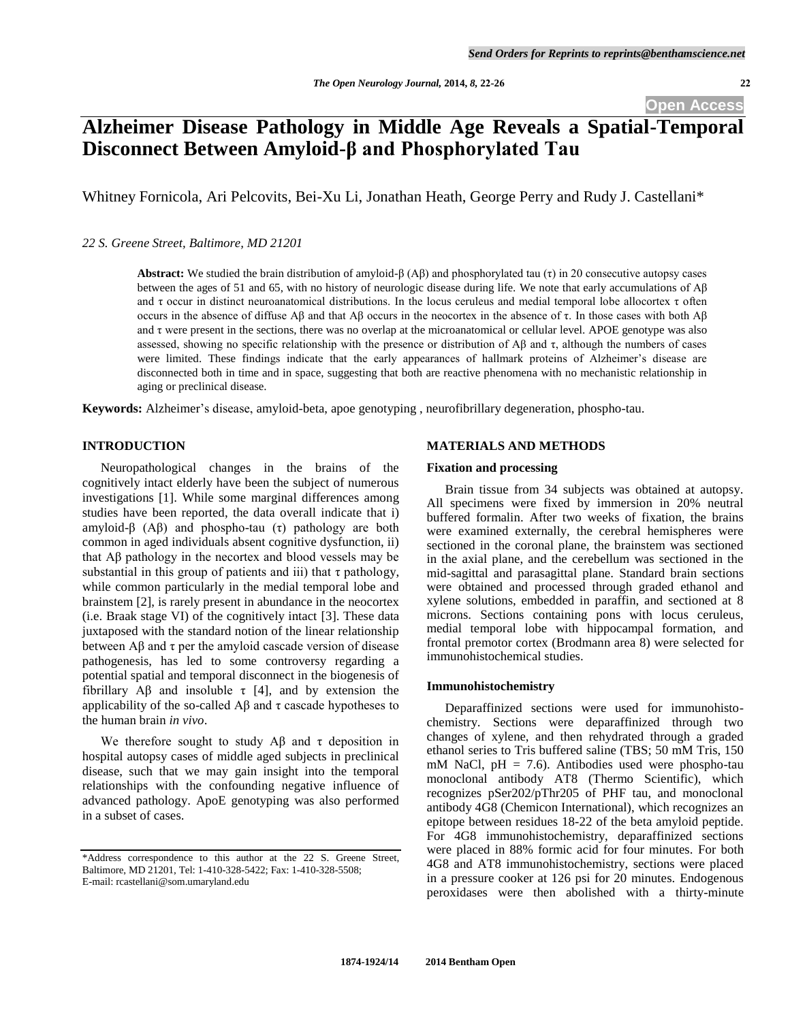# **Alzheimer Disease Pathology in Middle Age Reveals a Spatial-Temporal Disconnect Between Amyloid-β and Phosphorylated Tau**

Whitney Fornicola, Ari Pelcovits, Bei-Xu Li, Jonathan Heath, George Perry and Rudy J. Castellani\*

*22 S. Greene Street, Baltimore, MD 21201* 

**Abstract:** We studied the brain distribution of amyloid-β (Aβ) and phosphorylated tau (τ) in 20 consecutive autopsy cases between the ages of 51 and 65, with no history of neurologic disease during life. We note that early accumulations of Aβ and  $\tau$  occur in distinct neuroanatomical distributions. In the locus ceruleus and medial temporal lobe allocortex  $\tau$  often occurs in the absence of diffuse Aβ and that Aβ occurs in the neocortex in the absence of τ. In those cases with both  $\text{A}\beta$ and τ were present in the sections, there was no overlap at the microanatomical or cellular level. APOE genotype was also assessed, showing no specific relationship with the presence or distribution of Aβ and τ, although the numbers of cases were limited. These findings indicate that the early appearances of hallmark proteins of Alzheimer's disease are disconnected both in time and in space, suggesting that both are reactive phenomena with no mechanistic relationship in aging or preclinical disease.

**Keywords:** Alzheimer's disease, amyloid-beta, apoe genotyping , neurofibrillary degeneration, phospho-tau.

## **INTRODUCTION**

 Neuropathological changes in the brains of the cognitively intact elderly have been the subject of numerous investigations [1]. While some marginal differences among studies have been reported, the data overall indicate that i) amyloid- $\beta$  (A $\beta$ ) and phospho-tau (τ) pathology are both common in aged individuals absent cognitive dysfunction, ii) that Aβ pathology in the necortex and blood vessels may be substantial in this group of patients and iii) that  $\tau$  pathology, while common particularly in the medial temporal lobe and brainstem [2], is rarely present in abundance in the neocortex (i.e. Braak stage VI) of the cognitively intact [3]. These data juxtaposed with the standard notion of the linear relationship between  $\Delta\beta$  and  $\tau$  per the amyloid cascade version of disease pathogenesis, has led to some controversy regarding a potential spatial and temporal disconnect in the biogenesis of fibrillary A $\beta$  and insoluble  $\tau$  [4], and by extension the applicability of the so-called  $\mathbf{A}\beta$  and  $\tau$  cascade hypotheses to the human brain *in vivo*.

We therefore sought to study A $\beta$  and  $\tau$  deposition in hospital autopsy cases of middle aged subjects in preclinical disease, such that we may gain insight into the temporal relationships with the confounding negative influence of advanced pathology. ApoE genotyping was also performed in a subset of cases.

## **MATERIALS AND METHODS**

### **Fixation and processing**

 Brain tissue from 34 subjects was obtained at autopsy. All specimens were fixed by immersion in 20% neutral buffered formalin. After two weeks of fixation, the brains were examined externally, the cerebral hemispheres were sectioned in the coronal plane, the brainstem was sectioned in the axial plane, and the cerebellum was sectioned in the mid-sagittal and parasagittal plane. Standard brain sections were obtained and processed through graded ethanol and xylene solutions, embedded in paraffin, and sectioned at 8 microns. Sections containing pons with locus ceruleus, medial temporal lobe with hippocampal formation, and frontal premotor cortex (Brodmann area 8) were selected for immunohistochemical studies.

#### **Immunohistochemistry**

 Deparaffinized sections were used for immunohistochemistry. Sections were deparaffinized through two changes of xylene, and then rehydrated through a graded ethanol series to Tris buffered saline (TBS; 50 mM Tris, 150 mM NaCl,  $pH = 7.6$ ). Antibodies used were phospho-tau monoclonal antibody AT8 (Thermo Scientific), which recognizes pSer202/pThr205 of PHF tau, and monoclonal antibody 4G8 (Chemicon International), which recognizes an epitope between residues 18-22 of the beta amyloid peptide. For 4G8 immunohistochemistry, deparaffinized sections were placed in 88% formic acid for four minutes. For both 4G8 and AT8 immunohistochemistry, sections were placed in a pressure cooker at 126 psi for 20 minutes. Endogenous peroxidases were then abolished with a thirty-minute

<sup>\*</sup>Address correspondence to this author at the 22 S. Greene Street, Baltimore, MD 21201, Tel: 1-410-328-5422; Fax: 1-410-328-5508; E-mail: rcastellani@som.umaryland.edu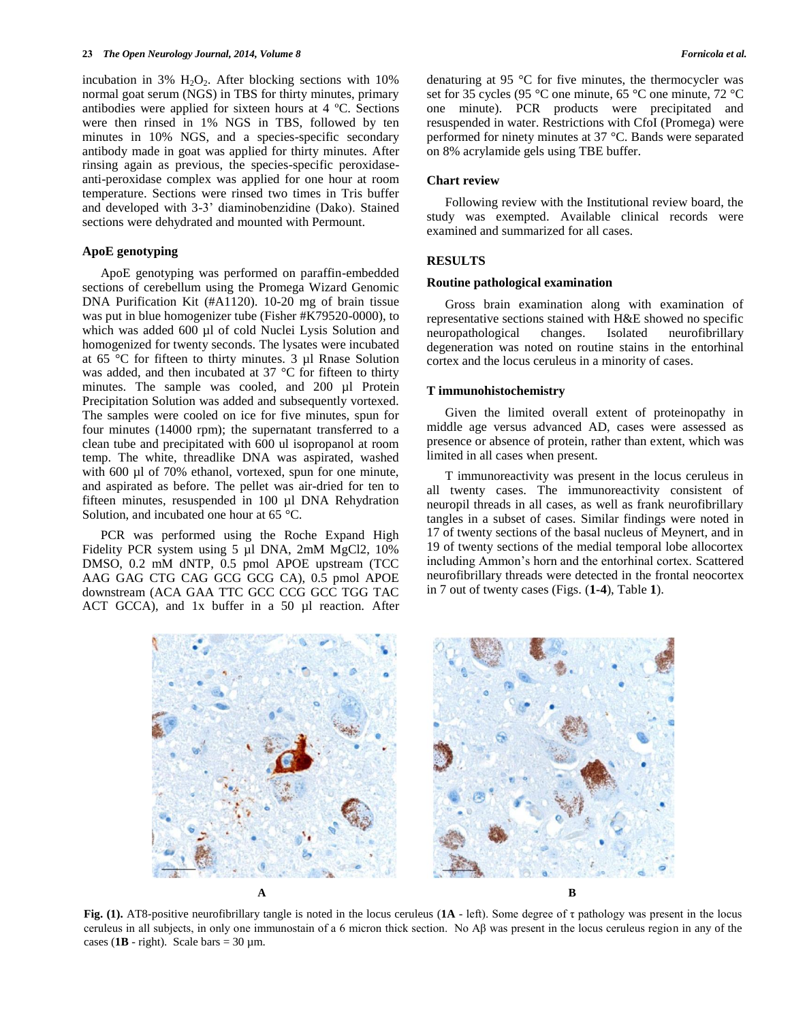incubation in 3%  $H_2O_2$ . After blocking sections with 10% normal goat serum (NGS) in TBS for thirty minutes, primary antibodies were applied for sixteen hours at 4 ºC. Sections were then rinsed in 1% NGS in TBS, followed by ten minutes in 10% NGS, and a species-specific secondary antibody made in goat was applied for thirty minutes. After rinsing again as previous, the species-specific peroxidaseanti-peroxidase complex was applied for one hour at room temperature. Sections were rinsed two times in Tris buffer and developed with 3-3' diaminobenzidine (Dako). Stained sections were dehydrated and mounted with Permount.

#### **ApoE genotyping**

 ApoE genotyping was performed on paraffin-embedded sections of cerebellum using the Promega Wizard Genomic DNA Purification Kit (#A1120). 10-20 mg of brain tissue was put in blue homogenizer tube (Fisher #K79520-0000), to which was added 600 µl of cold Nuclei Lysis Solution and homogenized for twenty seconds. The lysates were incubated at 65 °C for fifteen to thirty minutes. 3 µl Rnase Solution was added, and then incubated at 37 °C for fifteen to thirty minutes. The sample was cooled, and 200 µl Protein Precipitation Solution was added and subsequently vortexed. The samples were cooled on ice for five minutes, spun for four minutes (14000 rpm); the supernatant transferred to a clean tube and precipitated with 600 ul isopropanol at room temp. The white, threadlike DNA was aspirated, washed with 600 µl of 70% ethanol, vortexed, spun for one minute, and aspirated as before. The pellet was air-dried for ten to fifteen minutes, resuspended in 100 µl DNA Rehydration Solution, and incubated one hour at 65 °C.

 PCR was performed using the Roche Expand High Fidelity PCR system using 5 µl DNA, 2mM MgCl2, 10% DMSO, 0.2 mM dNTP, 0.5 pmol APOE upstream (TCC AAG GAG CTG CAG GCG GCG CA), 0.5 pmol APOE downstream (ACA GAA TTC GCC CCG GCC TGG TAC ACT GCCA), and 1x buffer in a 50 µl reaction. After denaturing at 95 °C for five minutes, the thermocycler was set for 35 cycles (95 °C one minute, 65 °C one minute, 72 °C one minute). PCR products were precipitated and resuspended in water. Restrictions with CfoI (Promega) were performed for ninety minutes at 37 °C. Bands were separated on 8% acrylamide gels using TBE buffer.

### **Chart review**

 Following review with the Institutional review board, the study was exempted. Available clinical records were examined and summarized for all cases.

### **RESULTS**

#### **Routine pathological examination**

 Gross brain examination along with examination of representative sections stained with H&E showed no specific neuropathological changes. Isolated neurofibrillary degeneration was noted on routine stains in the entorhinal cortex and the locus ceruleus in a minority of cases.

#### **T immunohistochemistry**

 Given the limited overall extent of proteinopathy in middle age versus advanced AD, cases were assessed as presence or absence of protein, rather than extent, which was limited in all cases when present.

 T immunoreactivity was present in the locus ceruleus in all twenty cases. The immunoreactivity consistent of neuropil threads in all cases, as well as frank neurofibrillary tangles in a subset of cases. Similar findings were noted in 17 of twenty sections of the basal nucleus of Meynert, and in 19 of twenty sections of the medial temporal lobe allocortex including Ammon's horn and the entorhinal cortex. Scattered neurofibrillary threads were detected in the frontal neocortex in 7 out of twenty cases (Figs. (**1-4**), Table **1**).



**Fig. (1).** AT8-positive neurofibrillary tangle is noted in the locus ceruleus (**1A** - left). Some degree of τ pathology was present in the locus ceruleus in all subjects, in only one immunostain of a 6 micron thick section. No Aβ was present in the locus ceruleus region in any of the cases ( $1B - right$ ). Scale bars = 30  $\mu$ m.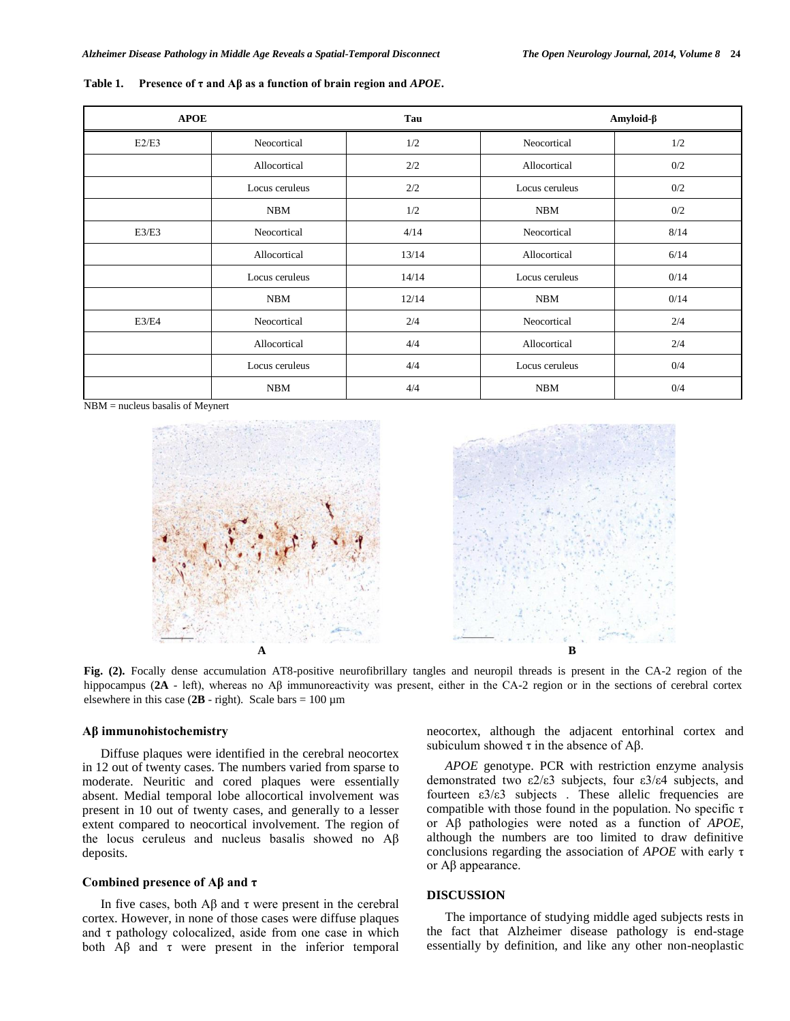| <b>APOE</b> |                | Tau   | Amyloid-β      |      |
|-------------|----------------|-------|----------------|------|
| E2/E3       | Neocortical    | 1/2   | Neocortical    | 1/2  |
|             | Allocortical   | 2/2   | Allocortical   | 0/2  |
|             | Locus ceruleus | 2/2   | Locus ceruleus | 0/2  |
|             | <b>NBM</b>     | 1/2   | <b>NBM</b>     | 0/2  |
| E3/E3       | Neocortical    | 4/14  | Neocortical    | 8/14 |
|             | Allocortical   | 13/14 | Allocortical   | 6/14 |
|             | Locus ceruleus | 14/14 | Locus ceruleus | 0/14 |
|             | <b>NBM</b>     | 12/14 | <b>NBM</b>     | 0/14 |
| E3/E4       | Neocortical    | 2/4   | Neocortical    | 2/4  |
|             | Allocortical   | 4/4   | Allocortical   | 2/4  |
|             | Locus ceruleus | 4/4   | Locus ceruleus | 0/4  |
|             | <b>NBM</b>     | 4/4   | <b>NBM</b>     | 0/4  |

**Table 1. Presence of τ and Aβ as a function of brain region and** *APOE***.**

NBM = nucleus basalis of Meynert





**Fig. (2).** Focally dense accumulation AT8-positive neurofibrillary tangles and neuropil threads is present in the CA-2 region of the hippocampus (**2A** - left), whereas no Aβ immunoreactivity was present, either in the CA-2 region or in the sections of cerebral cortex elsewhere in this case  $(2B - right)$ . Scale bars = 100  $\mu$ m

### **Aβ immunohistochemistry**

 Diffuse plaques were identified in the cerebral neocortex in 12 out of twenty cases. The numbers varied from sparse to moderate. Neuritic and cored plaques were essentially absent. Medial temporal lobe allocortical involvement was present in 10 out of twenty cases, and generally to a lesser extent compared to neocortical involvement. The region of the locus ceruleus and nucleus basalis showed no Aβ deposits.

#### **Combined presence of Aβ and τ**

In five cases, both  $\text{A}\beta$  and τ were present in the cerebral cortex. However, in none of those cases were diffuse plaques and  $\tau$  pathology colocalized, aside from one case in which both  $\overrightarrow{AB}$  and  $\tau$  were present in the inferior temporal neocortex, although the adjacent entorhinal cortex and subiculum showed  $\tau$  in the absence of A $\beta$ .

 *APOE* genotype. PCR with restriction enzyme analysis demonstrated two ε2/ε3 subjects, four ε3/ε4 subjects, and fourteen  $\epsilon 3/\epsilon 3$  subjects. These allelic frequencies are compatible with those found in the population. No specific  $\tau$ or Aβ pathologies were noted as a function of *APOE*, although the numbers are too limited to draw definitive conclusions regarding the association of *APOE* with early τ or Aβ appearance.

#### **DISCUSSION**

 The importance of studying middle aged subjects rests in the fact that Alzheimer disease pathology is end-stage essentially by definition, and like any other non-neoplastic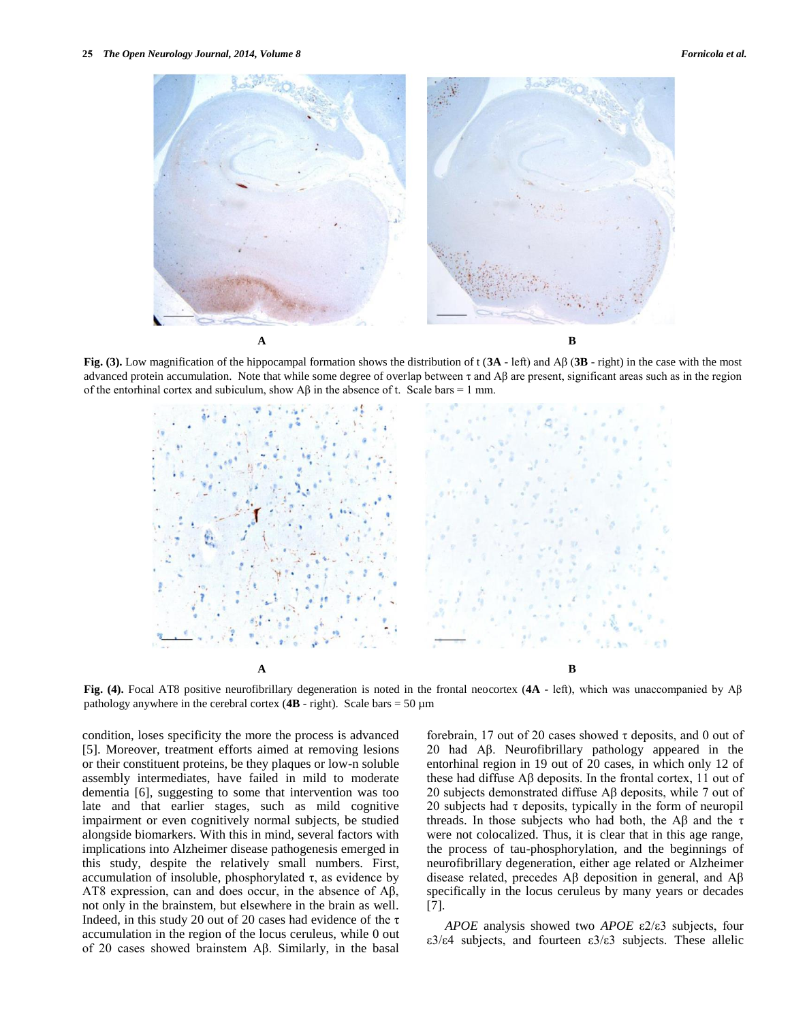

**Fig. (3).** Low magnification of the hippocampal formation shows the distribution of t (**3A** - left) and Aβ (**3B** - right) in the case with the most advanced protein accumulation. Note that while some degree of overlap between  $\tau$  and A $\beta$  are present, significant areas such as in the region of the entorhinal cortex and subiculum, show  $\text{A}\beta$  in the absence of t. Scale bars = 1 mm.



**Fig. (4).** Focal AT8 positive neurofibrillary degeneration is noted in the frontal neocortex (**4A** - left), which was unaccompanied by Aβ pathology anywhere in the cerebral cortex  $(4B - right)$ . Scale bars = 50  $\mu$ m

condition, loses specificity the more the process is advanced [5]. Moreover, treatment efforts aimed at removing lesions or their constituent proteins, be they plaques or low-n soluble assembly intermediates, have failed in mild to moderate dementia [6], suggesting to some that intervention was too late and that earlier stages, such as mild cognitive impairment or even cognitively normal subjects, be studied alongside biomarkers. With this in mind, several factors with implications into Alzheimer disease pathogenesis emerged in this study, despite the relatively small numbers. First, accumulation of insoluble, phosphorylated τ, as evidence by AT8 expression, can and does occur, in the absence of Aβ, not only in the brainstem, but elsewhere in the brain as well. Indeed, in this study 20 out of 20 cases had evidence of the  $\tau$ accumulation in the region of the locus ceruleus, while 0 out of 20 cases showed brainstem Aβ. Similarly, in the basal forebrain, 17 out of 20 cases showed τ deposits, and 0 out of 20 had Aβ. Neurofibrillary pathology appeared in the entorhinal region in 19 out of 20 cases, in which only 12 of these had diffuse Aβ deposits. In the frontal cortex, 11 out of 20 subjects demonstrated diffuse Aβ deposits, while 7 out of 20 subjects had  $\tau$  deposits, typically in the form of neuropil threads. In those subjects who had both, the Aβ and the  $τ$ were not colocalized. Thus, it is clear that in this age range, the process of tau-phosphorylation, and the beginnings of neurofibrillary degeneration, either age related or Alzheimer disease related, precedes Aβ deposition in general, and Aβ specifically in the locus ceruleus by many years or decades [7].

*APOE* analysis showed two *APOE* ε2/ε3 subjects, four ε3/ε4 subjects, and fourteen ε3/ε3 subjects. These allelic